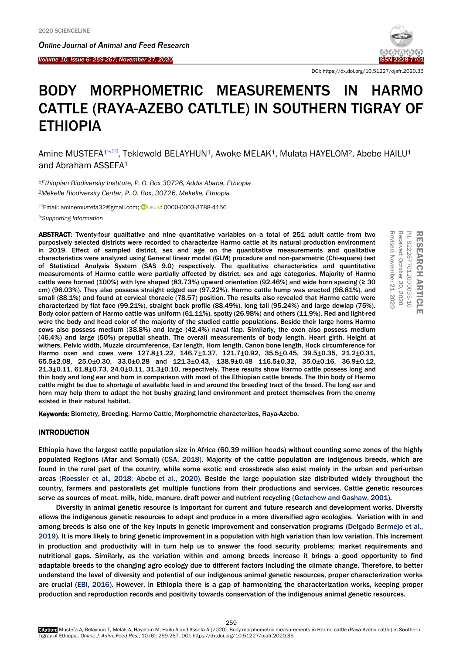*Online Journal of A[nimal and](http://www.ojafr.ir/main/) Feed Research*

*Volume 10, Issue 6: 259-267; November 27, 2020* ISSN 2228-7701 I



RESEARCH

**RESEARCH ARTICLE** 

PII: S222877012000035-10 Received: October 20, 2020 Revised: November 21, 2020

Received: October 20, 2020 PII: S222877012000035-10

Revised: November 21,

 $-2020$ 

ARTICLE

DOI: https://dx.doi.org/10.51227/ojafr.2020.35

# BODY MORPHOMETRIC MEASUREMENTS IN HARMO CATTLE (RAYA-AZEBO CATLTLE) IN SOUTHERN TIGRAY OF ETHIOPIA

Amine MUSTEFA<sup>1<sup>& [2]</sup>, Teklewold BELAYHUN<sup>1</sup>, Awoke MELAK<sup>1</sup>, Mulata HAYELOM<sup>2</sup>, Abebe HAILU<sup>1</sup></sup> and Abraham ASSEFA<sup>1</sup>

*<sup>1</sup>Ethiopian Biodiversity Institute, P. O. Box 30726, Addis Ababa, Ethiopia <sup>2</sup>Mekelle Biodiversity Center, P. O. Box, 30726, Mekelle, Ethiopia*

<sup>⊠</sup>Email: aminemustefa32@gmail.com; **©** ORCiD[: 0000-0003-3788-4156](https://orcid.org/0000-0003-3788-4156)

*[Supporting Information](#page-8-0)*

ABSTRACT: Twenty-four qualitative and nine quantitative variables on a total of 251 adult cattle from two purposively selected districts were recorded to characterize Harmo cattle at its natural production environment in 2019. Effect of sampled district, sex and age on the quantitative measurements and qualitative characteristics were analyzed using General linear model (GLM) procedure and non-parametric (Chi-square) test of Statistical Analysis System (SAS 9.0) respectively. The qualitative characteristics and quantitative measurements of Harmo cattle were partially affected by district, sex and age categories. Majority of Harmo cattle were horned (100%) with lyre shaped (83.73%) upward orientation (92.46%) and wide horn spacing (≥ 30 cm) (96.03%). They also possess straight edged ear (97.22%). Harmo cattle hump was erected (98.81%), and small (88.1%) and found at cervical thoracic (78.57) position. The results also revealed that Harmo cattle were characterized by flat face (99.21%), straight back profile (88.49%), long tail (95.24%) and large dewlap (75%). Body color pattern of Harmo cattle was uniform (61.11%), spotty (26.98%) and others (11.9%). Red and light-red were the body and head color of the majority of the studied cattle populations. Beside their large horns Harmo cows also possess medium (38.8%) and large (42.4%) naval flap. Similarly, the oxen also possess medium (46.4%) and large (50%) preputial sheath. The overall measurements of body length, Heart girth, Height at withers, Pelvic width, Muzzle circumference, Ear length, Horn length, Canon bone length, Hock circumference for Harmo oxen and cows were 127.8±1.22, 146.7±1.37, 121.7±0.92, 35.5±0.45, 39.5±0.35, 21.2±0.31, 65.5±2.08, 25.0±0.30, 33.0±0.28 and 121.3±0.43, 138.9±0.48 116.5±0.32, 35.0±0.16, 36.9±0.12, 21.3±0.11, 61.8±0.73, 24.0±0.11, 31.3±0.10, respectively. These results show Harmo cattle possess long and thin body and long ear and horn in comparison with most of the Ethiopian cattle breeds. The thin body of Harmo cattle might be due to shortage of available feed in and around the breeding tract of the breed. The long ear and horn may help them to adapt the hot bushy grazing land environment and protect themselves from the enemy existed in their natural habitat.

Keywords: Biometry, Breeding, Harmo Cattle, Morphometric characterizes, Raya-Azebo.

# INTRODUCTION

Ethiopia have the largest cattle population size in Africa (60.39 million heads) without counting some zones of the highly populated Regions (Afar and Somali) (CSA, [2018\)](#page-8-0). Majority of the cattle population are indigenous breeds, which are found in the rural part of the country, while some exotic and crossbreds also exist mainly in the urban and peri-urban areas [\(Roessler et al., 2018; Abebe](#page-8-0) et al., 2020). Beside the large population size distributed widely throughout the country, farmers and pastoralists get multiple functions from their productions and services. Cattle genetic resources serve as sources of meat, milk, hide, manure, draft power and nutrient recycling ([Getachew and Gashaw, 2001](#page-8-0)).

Diversity in animal genetic resource is important for current and future research and development works. Diversity allows the indigenous genetic resources to adapt and produce in a more diversified agro ecologies. Variation with in and among breeds is also one of the key inputs in genetic improvement and conservation programs [\(Delgado Bermejo et al.,](#page-8-0)  [2019\).](#page-8-0) It is more likely to bring genetic improvement in a population with high variation than low variation. This increment in production and productivity will in turn help us to answer the food security problems; market requirements and nutritional gaps. Similarly, as the variation within and among breeds increase it brings a good opportunity to find adaptable breeds to the changing agro ecology due to different factors including the climate change. Therefore, to better understand the level of diversity and potential of our indigenous animal genetic resources, proper characterization works are crucial (EBI, [2016](#page-8-0)). However, in Ethiopia there is a gap of harmonizing the characterization works, keeping proper production and reproduction records and positivity towards conservation of the indigenous animal genetic resources.

259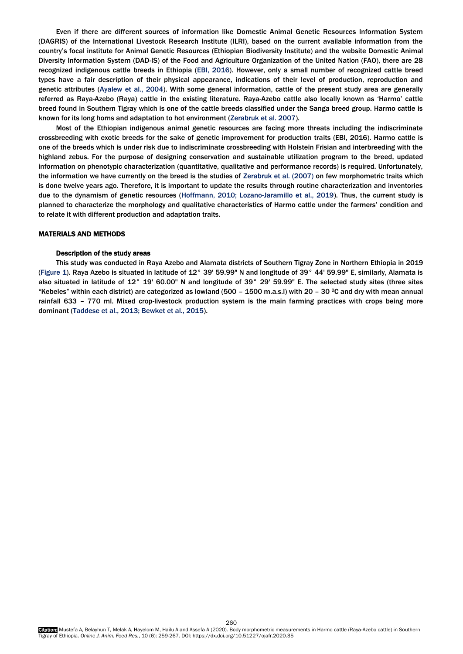Even if there are different sources of information like Domestic Animal Genetic Resources Information System (DAGRIS) of the International Livestock Research Institute (ILRI), based on the current available information from the country's focal institute for Animal Genetic Resources (Ethiopian Biodiversity Institute) and the website Domestic Animal Diversity Information System (DAD-IS) of the Food and Agriculture Organization of the United Nation ([FAO](#page-8-0)), there are 28 recognized indigenous cattle breeds in Ethiopia (EBI, [2016](#page-8-0)). However, only a small number of recognized cattle breed types have a fair description of their physical appearance, indications of their level of production, reproduction and genetic attributes [\(Ayalew et al., 2004](#page-8-0)). With some general information, cattle of the present study area are generally referred as Raya-Azebo (Raya) cattle in the existing literature. Raya-Azebo cattle also locally known as 'Harmo' cattle breed found in Southern Tigray which is one of the cattle breeds classified under the Sanga breed group. Harmo cattle is known for its long horns and adaptation to hot environment ([Zerabruk et al. 2007](#page-8-0)).

Most of the Ethiopian indigenous animal genetic resources are facing more threats including the indiscriminate crossbreeding with exotic breeds for the sake of genetic improvement for production traits (EBI, [2016\)](#page-8-0). Harmo cattle is one of the breeds which is under risk due to indiscriminate crossbreeding with Holstein Frisian and interbreeding with the highland zebus. For the purpose of designing conservation and sustainable utilization program to the breed, updated information on phenotypic characterization (quantitative, qualitative and performance records) is required. Unfortunately, the information we have currently on the breed is the studies o[f Zerabruk et al. \(2007\)](#page-8-0) on few morphometric traits which is done twelve years ago. Therefore, it is important to update the results through routine characterization and inventories due to the dynamism of genetic resources [\(Hoffmann, 2010; Lozano-Jaramillo et al., 2019\).](#page-8-0) Thus, the current study is planned to characterize the morphology and qualitative characteristics of Harmo cattle under the farmers' condition and to relate it with different production and adaptation traits.

# MATERIALS AND METHODS

## Description of the study areas

This study was conducted in Raya Azebo and Alamata districts of Southern Tigray Zone in Northern Ethiopia in 2019 (Figure 1). Raya Azebo is situated in latitude of 12° 39' 59.99" N and longitude of 39° 44' 59.99" E, similarly, Alamata is also situated in latitude of 12° 19' 60.00" N and longitude of 39° 29' 59.99" E. The selected study sites (three sites "Kebeles" within each district) are categorized as lowland (500 - 1500 m.a.s.l) with 20 - 30 °C and dry with mean annual rainfall 633 – 770 ml. Mixed crop-livestock production system is the main farming practices with crops being more dominant ([Taddese et al., 2013; Bewket et al., 2015](#page-8-0)).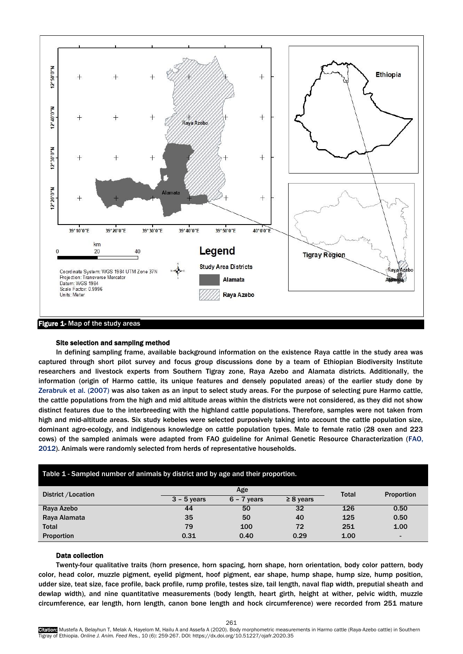

# Site selection and sampling method

In defining sampling frame, available background information on the existence Raya cattle in the study area was captured through short pilot survey and focus group discussions done by a team of Ethiopian Biodiversity Institute researchers and livestock experts from Southern Tigray zone, Raya Azebo and Alamata districts. Additionally, the [information \(origin of Harmo cattle, its unique features and densely populated areas\) of the earlier study done by](#page-8-0)  Zerabruk et al. (2007) was also taken as an input to select study areas. For the purpose of selecting pure Harmo cattle, the cattle populations from the high and mid altitude areas within the districts were not considered, as they did not show distinct features due to the interbreeding with the highland cattle populations. Therefore, samples were not taken from high and mid-altitude areas. Six study kebeles were selected purposively taking into account the cattle population size, dominant agro-ecology, and indigenous knowledge on cattle population types. Male to female ratio (28 oxen and 223 cows) of the sampled animals were adapted from [FAO](#page-8-0) guideline for Animal Genetic Resource Characterization ([FAO](#page-8-0), [2012\).](#page-8-0) Animals were randomly selected from herds of representative households.

| Table 1 - Sampled number of animals by district and by age and their proportion. |               |                   |                |      |                |  |  |
|----------------------------------------------------------------------------------|---------------|-------------------|----------------|------|----------------|--|--|
| District / Location                                                              | <b>Total</b>  | <b>Proportion</b> |                |      |                |  |  |
|                                                                                  | $3 - 5$ years | $6 - 7$ years     | $\geq 8$ years |      |                |  |  |
| Raya Azebo                                                                       | 44            | 50                | 32             | 126  | 0.50           |  |  |
| Raya Alamata                                                                     | 35            | 50                | 40             | 125  | 0.50           |  |  |
| <b>Total</b>                                                                     | 79            | 100               | 72             | 251  | 1.00           |  |  |
| Proportion                                                                       | 0.31          | 0.40              | 0.29           | 1.00 | $\blacksquare$ |  |  |

## Data collection

Twenty-four qualitative traits (horn presence, horn spacing, horn shape, horn orientation, body color pattern, body color, head color, muzzle pigment, eyelid pigment, hoof pigment, ear shape, hump shape, hump size, hump position, udder size, teat size, face profile, back profile, rump profile, testes size, tail length, naval flap width, preputial sheath and dewlap width), and nine quantitative measurements (body length, heart girth, height at wither, pelvic width, muzzle circumference, ear length, horn length, canon bone length and hock circumference) were recorded from 251 mature

261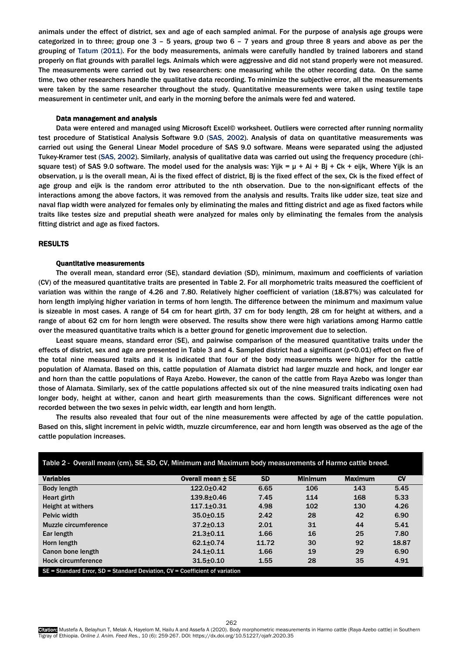animals under the effect of district, sex and age of each sampled animal. For the purpose of analysis age groups were categorized in to three; group one 3 – 5 years, group two 6 – 7 years and group three 8 years and above as per the grouping of [Tatum \(2011\).](#page-8-0) For the body measurements, animals were carefully handled by trained laborers and stand properly on flat grounds with parallel legs. Animals which were aggressive and did not stand properly were not measured. The measurements were carried out by two researchers: one measuring while the other recording data. On the same time, two other researchers handle the qualitative data recording. To minimize the subjective error, all the measurements were taken by the same researcher throughout the study. Quantitative measurements were taken using textile tape measurement in centimeter unit, and early in the morning before the animals were fed and watered.

#### Data management and analysis

Data were entered and managed using Microsoft Excel© worksheet. Outliers were corrected after running normality test procedure of Statistical Analysis Software 9.0 (SAS, [2002\).](#page-8-0) Analysis of data on quantitative measurements was carried out using the General Linear Model procedure of SAS 9.0 software. Means were separated using the adjusted Tukey-Kramer test (SAS, [2002\).](#page-8-0) Similarly, analysis of qualitative data was carried out using the frequency procedure (chisquare test) of SAS 9.0 software. The model used for the analysis was: Yijk =  $\mu$  + Ai + Bj + Ck + eijk, Where Yijk is an observation, μ is the overall mean, Ai is the fixed effect of district, Bj is the fixed effect of the sex, Ck is the fixed effect of age group and eijk is the random error attributed to the nth observation. Due to the non-significant effects of the interactions among the above factors, it was removed from the analysis and results. Traits like udder size, teat size and naval flap width were analyzed for females only by eliminating the males and fitting district and age as fixed factors while traits like testes size and preputial sheath were analyzed for males only by eliminating the females from the analysis fitting district and age as fixed factors.

## RESULTS

## Quantitative measurements

The overall mean, standard error (SE), standard deviation (SD), minimum, maximum and coefficients of variation (CV) of the measured quantitative traits are presented in Table 2. For all morphometric traits measured the coefficient of variation was within the range of 4.26 and 7.80. Relatively higher coefficient of variation (18.87%) was calculated for horn length implying higher variation in terms of horn length. The difference between the minimum and maximum value is sizeable in most cases. A range of 54 cm for heart girth, 37 cm for body length, 28 cm for height at withers, and a range of about 62 cm for horn length were observed. The results show there were high variations among Harmo cattle over the measured quantitative traits which is a better ground for genetic improvement due to selection.

Least square means, standard error (SE), and pairwise comparison of the measured quantitative traits under the effects of district, sex and age are presented in Table 3 and 4. Sampled district had a significant (p<0.01) effect on five of the total nine measured traits and it is indicated that four of the body measurements were higher for the cattle population of Alamata. Based on this, cattle population of Alamata district had larger muzzle and hock, and longer ear and horn than the cattle populations of Raya Azebo. However, the canon of the cattle from Raya Azebo was longer than those of Alamata. Similarly, sex of the cattle populations affected six out of the nine measured traits indicating oxen had longer body, height at wither, canon and heart girth measurements than the cows. Significant differences were not recorded between the two sexes in pelvic width, ear length and horn length.

The results also revealed that four out of the nine measurements were affected by age of the cattle population. Based on this, slight increment in pelvic width, muzzle circumference, ear and horn length was observed as the age of the cattle population increases.

| Table 2 - Overall mean (cm), SE, SD, CV, Minimum and Maximum body measurements of Harmo cattle breed. |                   |           |                |                |       |
|-------------------------------------------------------------------------------------------------------|-------------------|-----------|----------------|----------------|-------|
| <b>Variables</b>                                                                                      | Overall mean ± SE | <b>SD</b> | <b>Minimum</b> | <b>Maximum</b> | CV    |
| Body length                                                                                           | $122.0 + 0.42$    | 6.65      | 106            | 143            | 5.45  |
| Heart girth                                                                                           | $139.8 + 0.46$    | 7.45      | 114            | 168            | 5.33  |
| Height at withers                                                                                     | $117.1 + 0.31$    | 4.98      | 102            | 130            | 4.26  |
| Pelvic width                                                                                          | $35.0 + 0.15$     | 2.42      | 28             | 42             | 6.90  |
| Muzzle circumference                                                                                  | $37.2 \pm 0.13$   | 2.01      | 31             | 44             | 5.41  |
| Ear length                                                                                            | $21.3 + 0.11$     | 1.66      | 16             | 25             | 7.80  |
| Horn length                                                                                           | $62.1 + 0.74$     | 11.72     | 30             | 92             | 18.87 |
| Canon bone length                                                                                     | $24.1 + 0.11$     | 1.66      | 19             | 29             | 6.90  |
| <b>Hock circumference</b>                                                                             | $31.5 + 0.10$     | 1.55      | 28             | 35             | 4.91  |
| $SE = Standard Error. SD = Standard Deviation. CV = Coefficient of variation$                         |                   |           |                |                |       |

Table 2 - Overall mean (cm), SE, SD, CV, Minimum and Maximum body measurements of Harmo cattle breed.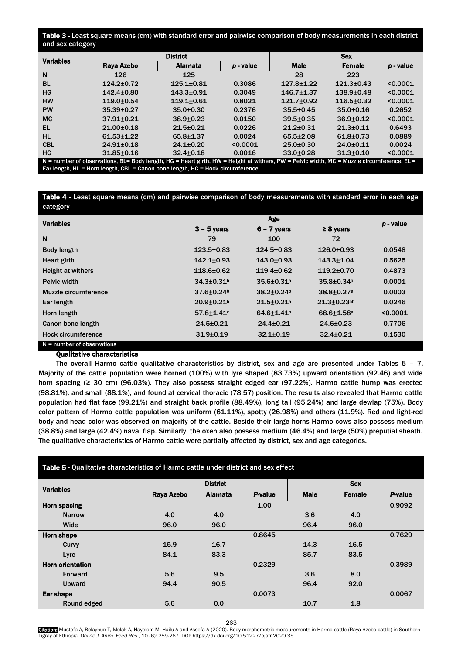# Table 3 - Least square means (cm) with standard error and pairwise comparison of body measurements in each district and sex category

| <b>Variables</b> |                                                                                                                                             | <b>District</b> |           |                  |                |             |
|------------------|---------------------------------------------------------------------------------------------------------------------------------------------|-----------------|-----------|------------------|----------------|-------------|
|                  | Raya Azebo                                                                                                                                  | <b>Alamata</b>  | p - value | <b>Male</b>      | <b>Female</b>  | $p$ - value |
| N                | 126                                                                                                                                         | 125             |           | 28               | 223            |             |
| <b>BL</b>        | $124.2 + 0.72$                                                                                                                              | $125.1 + 0.81$  | 0.3086    | $127.8 + 1.22$   | $121.3 + 0.43$ | < 0.0001    |
| HG               | $142.4 \pm 0.80$                                                                                                                            | $143.3 + 0.91$  | 0.3049    | $146.7 \pm 1.37$ | $138.9 + 0.48$ | < 0.0001    |
| <b>HW</b>        | $119.0 + 0.54$                                                                                                                              | $119.1 + 0.61$  | 0.8021    | $121.7 + 0.92$   | $116.5 + 0.32$ | < 0.0001    |
| <b>PW</b>        | $35.39 + 0.27$                                                                                                                              | $35.0 + 0.30$   | 0.2376    | $35.5 \pm 0.45$  | $35.0 + 0.16$  | 0.2652      |
| <b>MC</b>        | $37.91 + 0.21$                                                                                                                              | $38.9 + 0.23$   | 0.0150    | $39.5 \pm 0.35$  | $36.9 + 0.12$  | < 0.0001    |
| EL               | $21.00+0.18$                                                                                                                                | $21.5 + 0.21$   | 0.0226    | $21.2 + 0.31$    | $21.3 + 0.11$  | 0.6493      |
| <b>HL</b>        | $61.53 + 1.22$                                                                                                                              | $65.8 + 1.37$   | 0.0024    | $65.5 + 2.08$    | $61.8 + 0.73$  | 0.0889      |
| <b>CBL</b>       | $24.91 + 0.18$                                                                                                                              | $24.1 + 0.20$   | < 0.0001  | $25.0 + 0.30$    | $24.0 + 0.11$  | 0.0024      |
| <b>HC</b>        | $31.85 \pm 0.16$                                                                                                                            | $32.4 + 0.18$   | 0.0016    | $33.0 + 0.28$    | $31.3 + 0.10$  | < 0.0001    |
|                  | $N =$ number of observations, BL= Body length, HG = Heart girth, HW = Height at withers, PW = Pelvic width, MC = Muzzle circumference, EL = |                 |           |                  |                |             |

Ear length, HL = Horn length, CBL = Canon bone length, HC = Hock circumference.

# Table 4 - Least square means (cm) and pairwise comparison of body measurements with standard error in each age category

| <b>Variables</b>             |                              | p - value                    |                            |          |
|------------------------------|------------------------------|------------------------------|----------------------------|----------|
|                              | $3 - 5$ years                | $6 - 7$ years                | $\geq 8$ years             |          |
| N                            | 79                           | 100                          | 72                         |          |
| <b>Body length</b>           | $123.5 + 0.83$               | $124.5 + 0.83$               | $126.0+0.93$               | 0.0548   |
| Heart girth                  | $142.1 + 0.93$               | $143.0 + 0.93$               | $143.3 \pm 1.04$           | 0.5625   |
| Height at withers            | 118.6+0.62                   | $119.4 + 0.62$               | $119.2 \pm 0.70$           | 0.4873   |
| Pelvic width                 | $34.3{\pm}0.31$ <sup>b</sup> | $35.6 \pm 0.31$ <sup>a</sup> | $35.8 + 0.34a$             | 0.0001   |
| Muzzle circumference         | $37.6 \pm 0.24$              | 38.2±0.24 <sup>b</sup>       | $38.8 + 0.27$ <sup>a</sup> | 0.0003   |
| Ear length                   | $20.9 + 0.21$                | $21.5 + 0.21a$               | $21.3 \pm 0.23$ ab         | 0.0246   |
| Horn length                  | $57.8 + 1.41$                | 64.6±1.41 <sup>b</sup>       | 68.6±1.58 <sup>a</sup>     | < 0.0001 |
| Canon bone length            | $24.5 \pm 0.21$              | $24.4 \pm 0.21$              | $24.6 \pm 0.23$            | 0.7706   |
| Hock circumference           | $31.9 + 0.19$                | $32.1 \pm 0.19$              | $32.4 \pm 0.21$            | 0.1530   |
| $N =$ number of observations |                              |                              |                            |          |

# Qualitative characteristics

The overall Harmo cattle qualitative characteristics by district, sex and age are presented under Tables 5 – 7. Majority of the cattle population were horned (100%) with lyre shaped (83.73%) upward orientation (92.46) and wide horn spacing (≥ 30 cm) (96.03%). They also possess straight edged ear (97.22%). Harmo cattle hump was erected (98.81%), and small (88.1%), and found at cervical thoracic (78.57) position. The results also revealed that Harmo cattle population had flat face (99.21%) and straight back profile (88.49%), long tail (95.24%) and large dewlap (75%). Body color pattern of Harmo cattle population was uniform (61.11%), spotty (26.98%) and others (11.9%). Red and light-red body and head color was observed on majority of the cattle. Beside their large horns Harmo cows also possess medium (38.8%) and large (42.4%) naval flap. Similarly, the oxen also possess medium (46.4%) and large (50%) preputial sheath. The qualitative characteristics of Harmo cattle were partially affected by district, sex and age categories.

# Table 5 - Qualitative characteristics of Harmo cattle under district and sex effect

|                         |            | <b>District</b> |         | <b>Sex</b>  |               |         |  |
|-------------------------|------------|-----------------|---------|-------------|---------------|---------|--|
| <b>Variables</b>        | Raya Azebo | <b>Alamata</b>  | P-value | <b>Male</b> | <b>Female</b> | P-value |  |
| <b>Horn spacing</b>     |            |                 | 1.00    |             |               | 0.9092  |  |
| <b>Narrow</b>           | 4.0        | 4.0             |         | 3.6         | 4.0           |         |  |
| Wide                    | 96.0       | 96.0            |         | 96.4        | 96.0          |         |  |
| <b>Horn shape</b>       |            |                 | 0.8645  |             |               | 0.7629  |  |
| Curvy                   | 15.9       | 16.7            |         | 14.3        | 16.5          |         |  |
| Lyre                    | 84.1       | 83.3            |         | 85.7        | 83.5          |         |  |
| <b>Horn orientation</b> |            |                 | 0.2329  |             |               | 0.3989  |  |
| Forward                 | 5.6        | 9.5             |         | 3.6         | 8.0           |         |  |
| Upward                  | 94.4       | 90.5            |         | 96.4        | 92.0          |         |  |
| Ear shape               |            |                 | 0.0073  |             |               | 0.0067  |  |
| Round edged             | 5.6        | 0.0             |         | 10.7        | 1.8           |         |  |

263

Gitation: Mustefa A, Belayhun T, Melak A, Hayelom M, Hailu A and Assefa A (2020). Body morphometric measurements in Harmo cattle (Raya-Azebo cattle) in Southern<br>Tigray of Ethiopia. *Online J. Anim. Feed Res.,* 10 (6): 259-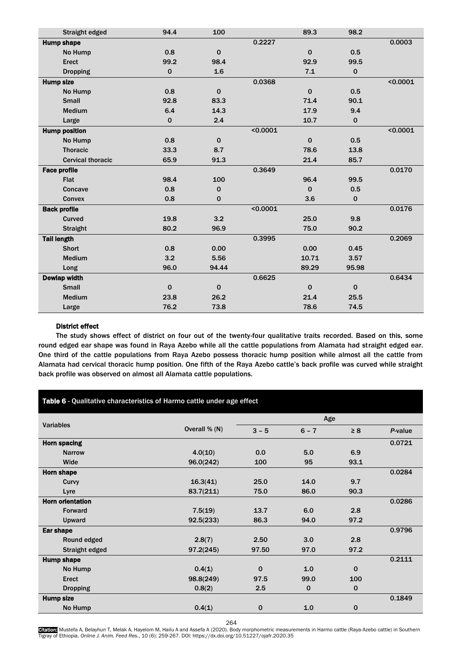| Straight edged           | 94.4        | 100         |          | 89.3        | 98.2        |          |
|--------------------------|-------------|-------------|----------|-------------|-------------|----------|
| <b>Hump shape</b>        |             |             | 0.2227   |             |             | 0.0003   |
| No Hump                  | 0.8         | $\mathbf 0$ |          | $\mathbf 0$ | 0.5         |          |
| <b>Erect</b>             | 99.2        | 98.4        |          | 92.9        | 99.5        |          |
| <b>Dropping</b>          | $\pmb{0}$   | 1.6         |          | 7.1         | $\mathbf 0$ |          |
| <b>Hump size</b>         |             |             | 0.0368   |             |             | < 0.0001 |
| No Hump                  | 0.8         | $\mathbf 0$ |          | $\mathbf 0$ | 0.5         |          |
| <b>Small</b>             | 92.8        | 83.3        |          | 71.4        | 90.1        |          |
| <b>Medium</b>            | 6.4         | 14.3        |          | 17.9        | 9.4         |          |
| Large                    | $\mathbf 0$ | 2.4         |          | 10.7        | $\mathbf 0$ |          |
| <b>Hump position</b>     |             |             | < 0.0001 |             |             | < 0.0001 |
| No Hump                  | 0.8         | $\mathbf 0$ |          | $\Omega$    | 0.5         |          |
| <b>Thoracic</b>          | 33.3        | 8.7         |          | 78.6        | 13.8        |          |
| <b>Cervical thoracic</b> | 65.9        | 91.3        |          | 21.4        | 85.7        |          |
| <b>Face profile</b>      |             |             | 0.3649   |             |             | 0.0170   |
| <b>Flat</b>              | 98.4        | 100         |          | 96.4        | 99.5        |          |
| Concave                  | 0.8         | $\mathbf 0$ |          | $\Omega$    | 0.5         |          |
| Convex                   | 0.8         | $\mathbf 0$ |          | 3.6         | $\pmb{0}$   |          |
| <b>Back profile</b>      |             |             | < 0.0001 |             |             | 0.0176   |
| Curved                   | 19.8        | 3.2         |          | 25.0        | 9.8         |          |
| <b>Straight</b>          | 80.2        | 96.9        |          | 75.0        | 90.2        |          |
| <b>Tail length</b>       |             |             | 0.3995   |             |             | 0.2069   |
| <b>Short</b>             | 0.8         | 0.00        |          | 0.00        | 0.45        |          |
| <b>Medium</b>            | 3.2         | 5.56        |          | 10.71       | 3.57        |          |
| Long                     | 96.0        | 94.44       |          | 89.29       | 95.98       |          |
| <b>Dewlap width</b>      |             |             | 0.6625   |             |             | 0.6434   |
| <b>Small</b>             | $\mathbf 0$ | $\mathbf 0$ |          | $\mathbf 0$ | $\mathbf 0$ |          |
| <b>Medium</b>            | 23.8        | 26.2        |          | 21.4        | 25.5        |          |
| Large                    | 76.2        | 73.8        |          | 78.6        | 74.5        |          |

# District effect

The study shows effect of district on four out of the twenty-four qualitative traits recorded. Based on this, some round edged ear shape was found in Raya Azebo while all the cattle populations from Alamata had straight edged ear. One third of the cattle populations from Raya Azebo possess thoracic hump position while almost all the cattle from Alamata had cervical thoracic hump position. One fifth of the Raya Azebo cattle's back profile was curved while straight back profile was observed on almost all Alamata cattle populations.

| Table 6 - Qualitative characteristics of Harmo cattle under age effect |               |                  |             |             |         |  |
|------------------------------------------------------------------------|---------------|------------------|-------------|-------------|---------|--|
|                                                                        |               |                  |             |             |         |  |
| <b>Variables</b>                                                       | Overall % (N) | $3 - 5$          | $6 - 7$     | $\geq 8$    | P-value |  |
| <b>Horn spacing</b>                                                    |               |                  |             |             | 0.0721  |  |
| <b>Narrow</b>                                                          | 4.0(10)       | 0.0 <sub>1</sub> | 5.0         | 6.9         |         |  |
| Wide                                                                   | 96.0(242)     | 100              | 95          | 93.1        |         |  |
| <b>Horn shape</b>                                                      |               |                  |             |             | 0.0284  |  |
| Curvy                                                                  | 16.3(41)      | 25.0             | 14.0        | 9.7         |         |  |
| Lyre                                                                   | 83.7(211)     | 75.0             | 86.0        | 90.3        |         |  |
| <b>Horn orientation</b>                                                |               |                  |             |             | 0.0286  |  |
| Forward                                                                | 7.5(19)       | 13.7             | 6.0         | 2.8         |         |  |
| Upward                                                                 | 92.5(233)     | 86.3             | 94.0        | 97.2        |         |  |
| Ear shape                                                              |               |                  |             |             | 0.9796  |  |
| Round edged                                                            | 2.8(7)        | 2.50             | 3.0         | 2.8         |         |  |
| Straight edged                                                         | 97.2(245)     | 97.50            | 97.0        | 97.2        |         |  |
| <b>Hump shape</b>                                                      |               |                  |             |             | 0.2111  |  |
| No Hump                                                                | 0.4(1)        | $\mathbf 0$      | 1.0         | $\mathbf 0$ |         |  |
| Erect                                                                  | 98.8(249)     | 97.5             | 99.0        | 100         |         |  |
| <b>Dropping</b>                                                        | 0.8(2)        | 2.5              | $\mathbf 0$ | $\mathbf 0$ |         |  |
| <b>Hump size</b>                                                       |               |                  |             |             | 0.1849  |  |
| No Hump                                                                | 0.4(1)        | $\mathbf 0$      | 1.0         | 0           |         |  |

264

Gitation: Mustefa A, Belayhun T, Melak A, Hayelom M, Hailu A and Assefa A (2020). Body morphometric measurements in Harmo cattle (Raya-Azebo cattle) in Southern<br>Tigray of Ethiopia. *Online J. Anim. Feed Res.,* 10 (6): 259-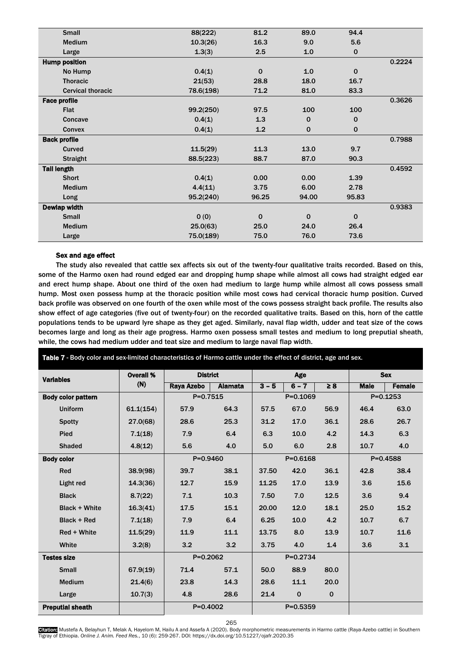| <b>Small</b>             | 88(222)   | 81.2        | 89.0        | 94.4        |        |
|--------------------------|-----------|-------------|-------------|-------------|--------|
|                          |           |             |             |             |        |
| <b>Medium</b>            | 10.3(26)  | 16.3        | 9.0         | 5.6         |        |
| Large                    | 1.3(3)    | 2.5         | 1.0         | $\mathbf 0$ |        |
| <b>Hump position</b>     |           |             |             |             | 0.2224 |
| No Hump                  | 0.4(1)    | $\mathbf 0$ | 1.0         | $\mathbf 0$ |        |
| <b>Thoracic</b>          | 21(53)    | 28.8        | 18.0        | 16.7        |        |
| <b>Cervical thoracic</b> | 78.6(198) | 71.2        | 81.0        | 83.3        |        |
| <b>Face profile</b>      |           |             |             |             | 0.3626 |
| <b>Flat</b>              | 99.2(250) | 97.5        | 100         | 100         |        |
| Concave                  | 0.4(1)    | 1.3         | $\mathbf 0$ | $\mathbf 0$ |        |
| <b>Convex</b>            | 0.4(1)    | 1.2         | $\mathbf 0$ | $\mathbf 0$ |        |
| <b>Back profile</b>      |           |             |             |             | 0.7988 |
| Curved                   | 11.5(29)  | 11.3        | 13.0        | 9.7         |        |
| <b>Straight</b>          | 88.5(223) | 88.7        | 87.0        | 90.3        |        |
| <b>Tail length</b>       |           |             |             |             | 0.4592 |
| <b>Short</b>             | 0.4(1)    | 0.00        | 0.00        | 1.39        |        |
| <b>Medium</b>            | 4.4(11)   | 3.75        | 6.00        | 2.78        |        |
| Long                     | 95.2(240) | 96.25       | 94.00       | 95.83       |        |
| <b>Dewlap width</b>      |           |             |             |             | 0.9383 |
| <b>Small</b>             | 0(0)      | 0           | $\mathbf 0$ | $\mathbf 0$ |        |
| <b>Medium</b>            | 25.0(63)  | 25.0        | 24.0        | 26.4        |        |
| Large                    | 75.0(189) | 75.0        | 76.0        | 73.6        |        |

# Sex and age effect

The study also revealed that cattle sex affects six out of the twenty-four qualitative traits recorded. Based on this, some of the Harmo oxen had round edged ear and dropping hump shape while almost all cows had straight edged ear and erect hump shape. About one third of the oxen had medium to large hump while almost all cows possess small hump. Most oxen possess hump at the thoracic position while most cows had cervical thoracic hump position. Curved back profile was observed on one fourth of the oxen while most of the cows possess straight back profile. The results also show effect of age categories (five out of twenty-four) on the recorded qualitative traits. Based on this, horn of the cattle populations tends to be upward lyre shape as they get aged. Similarly, naval flap width, udder and teat size of the cows becomes large and long as their age progress. Harmo oxen possess small testes and medium to long preputial sheath, while, the cows had medium udder and teat size and medium to large naval flap width.

Table 7 - Body color and sex-limited characteristics of Harmo cattle under the effect of district, age and sex. Variables Overall % (N) District **Age Sex** Raya Azebo | Alamata | 3 – 5 | 6 – 7 | ≥ 8 | Male | Female Body color pattern  $\vert$  P=0.7515 P=0.1069 P=0.1253 Uniform 61.1(154) 57.9 64.3 57.5 67.0 56.9 46.4 63.0 Spotty | 27.0(68) | 28.6 25.3 | 31.2 17.0 36.1 | 28.6 26.7 Pied 7.1(18) 7.9 6.4 6.3 10.0 4.2 14.3 6.3 Shaded | 4.8(12) | 5.6 4.0 | 5.0 6.0 2.8 | 10.7 4.0 Body color P=0.9460 P=0.6168 P=0.4588 Red 38.9(98) 39.7 38.1 37.50 42.0 36.1 42.8 38.4 Light red 14.3(36) 12.7 15.9 11.25 17.0 13.9 3.6 15.6 Black 8.7(22) 7.1 10.3 7.50 7.0 12.5 3.6 9.4 Black + White 16.3(41) 17.5 15.1 20.00 12.0 18.1 25.0 15.2 Black + Red 7.1(18) 7.9 6.4 6.25 10.0 4.2 10.7 6.7 Red + White 11.5(29) 11.9 11.1 13.75 8.0 13.9 10.7 11.6 White 3.2(8) 3.2 3.2 3.75 4.0 1.4 3.6 3.1 **Testes size**   $P=0.2062$  P=0.2734 Small | 67.9(19) | 71.4 57.1 | 50.0 88.9 80.0 Medium 21.4(6) 23.8 14.3 28.6 11.1 20.0 Large 10.7(3) 4.8 28.6 21.4 0 0 **Preputial sheath**  $P=0.4002$   $P=0.5359$ 

265

Gitation: Mustefa A, Belayhun T, Melak A, Hayelom M, Hailu A and Assefa A (2020). Body morphometric measurements in Harmo cattle (Raya-Azebo cattle) in Southern<br>Tigray of Ethiopia. *Online J. Anim. Feed Res.,* 10 (6): 259-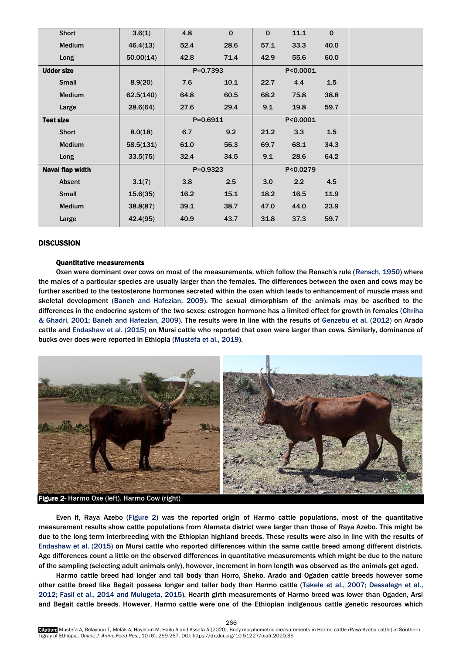| <b>Short</b>      | 3.6(1)    | 4.8          | $\mathbf 0$ | $\mathbf 0$ | 11.1     | $\mathbf 0$ |  |
|-------------------|-----------|--------------|-------------|-------------|----------|-------------|--|
| Medium            | 46.4(13)  | 52.4         | 28.6        | 57.1        | 33.3     | 40.0        |  |
| Long              | 50.00(14) | 42.8         | 71.4        | 42.9        | 55.6     | 60.0        |  |
| <b>Udder size</b> |           | $P=0.7393$   |             |             | P<0.0001 |             |  |
| <b>Small</b>      | 8.9(20)   | 7.6          | 10.1        | 22.7        | 4.4      | 1.5         |  |
| <b>Medium</b>     | 62.5(140) | 64.8         | 60.5        | 68.2        | 75.8     | 38.8        |  |
| Large             | 28.6(64)  | 27.6         | 29.4        | 9.1         | 19.8     | 59.7        |  |
| <b>Teat size</b>  |           | $P = 0.6911$ |             |             | P<0.0001 |             |  |
| <b>Short</b>      | 8.0(18)   | 6.7          | 9.2         | 21.2        | 3.3      | 1.5         |  |
| Medium            | 58.5(131) | 61.0         | 56.3        | 69.7        | 68.1     | 34.3        |  |
| Long              | 33.5(75)  | 32.4         | 34.5        | 9.1         | 28.6     | 64.2        |  |
| Naval flap width  |           | $P = 0.9323$ |             |             | P<0.0279 |             |  |
| Absent            | 3.1(7)    | 3.8          | 2.5         | 3.0         | 2.2      | 4.5         |  |
| <b>Small</b>      | 15.6(35)  | 16.2         | 15.1        | 18.2        | 16.5     | 11.9        |  |
| Medium            | 38.8(87)  | 39.1         | 38.7        | 47.0        | 44.0     | 23.9        |  |
| Large             | 42.4(95)  | 40.9         | 43.7        | 31.8        | 37.3     | 59.7        |  |

# **DISCUSSION**

## Quantitative measurements

Oxen were dominant over cows on most of the measurements, which follow the Rensch's rule ([Rensch, 1950\)](#page-8-0) where the males of a particular species are usually larger than the females. The differences between the oxen and cows may be further ascribed to the testosterone hormones secreted within the oxen which leads to enhancement of muscle mass and skeletal development [\(Baneh and Hafezian, 2009\)](#page-8-0). The sexual dimorphism of the animals may be ascribed to the differences in the endocrine system of the two sexes; estrogen hormone has a limited effect for growth in females ([Chriha](#page-8-0)  [& Ghadri, 2001; Baneh and Hafezian, 2009\)](#page-8-0). The results were in line with the results of [Genzebu et al. \(2012\)](#page-8-0) on Arado cattle and [Endashaw et al. \(2015\)](#page-8-0) on Mursi cattle who reported that oxen were larger than cows. Similarly, dominance of bucks over does were reported in Ethiopia [\(Mustefa et al.,](#page-8-0) [2019\)](#page-8-0).



Figure 2- Harmo Oxe (left). Harmo Cow (right)

Even if, Raya Azebo (Figure 2) was the reported origin of Harmo cattle populations, most of the quantitative measurement results show cattle populations from Alamata district were larger than those of Raya Azebo. This might be [due to the long term interbreeding with the Ethiopian highland breeds. These results were also in line with the results of](#page-8-0)  Endashaw et al. (2015) on Mursi cattle who reported differences within the same cattle breed among different districts. Age differences count a little on the observed differences in quantitative measurements which might be due to the nature of the sampling (selecting adult animals only), however, increment in horn length was observed as the animals get aged.

Harmo cattle breed had longer and tall body than Horro, Sheko, Arado and Ogaden cattle breeds however some other cattle breed like Begait possess longer and taller body than Harmo cattle (Takele et al., [2007; Dessalegn et al.,](#page-8-0) 2012; Fasil et al., [2014 and Mulugeta,](#page-8-0) 2015). Hearth girth measurements of Harmo breed was lower than Ogaden, Arsi and Begait cattle breeds. However, Harmo cattle were one of the Ethiopian indigenous cattle genetic resources which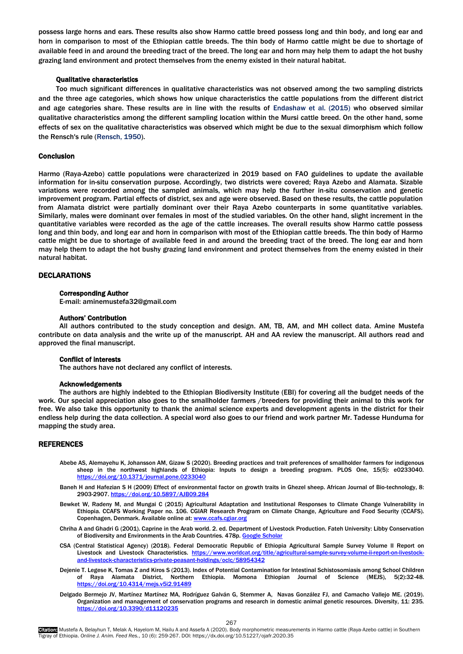<span id="page-8-0"></span>possess large horns and ears. These results also show Harmo cattle breed possess long and thin body, and long ear and horn in comparison to most of the Ethiopian cattle breeds. The thin body of Harmo cattle might be due to shortage of available feed in and around the breeding tract of the breed. The long ear and horn may help them to adapt the hot bushy grazing land environment and protect themselves from the enemy existed in their natural habitat.

## Qualitative characteristics

Too much significant differences in qualitative characteristics was not observed among the two sampling districts and the three age categories, which shows how unique characteristics the cattle populations from the different district and age categories share. These results are in line with the results o[f Endashaw et al. \(2015\)](#page-8-0) who observed similar qualitative characteristics among the different sampling location within the Mursi cattle breed. On the other hand, some effects of sex on the qualitative characteristics was observed which might be due to the sexual dimorphism which follow the Rensch's rule ([Rensch, 1950\)](#page-8-0).

## Conclusion

Harmo (Raya-Azebo) cattle populations were characterized in 2019 based on [FAO](#page-8-0) guidelines to update the available information for in-situ conservation purpose. Accordingly, two districts were covered; Raya Azebo and Alamata. Sizable variations were recorded among the sampled animals, which may help the further in-situ conservation and genetic improvement program. Partial effects of district, sex and age were observed. Based on these results, the cattle population from Alamata district were partially dominant over their Raya Azebo counterparts in some quantitative variables. Similarly, males were dominant over females in most of the studied variables. On the other hand, slight increment in the quantitative variables were recorded as the age of the cattle increases. The overall results show Harmo cattle possess long and thin body, and long ear and horn in comparison with most of the Ethiopian cattle breeds. The thin body of Harmo cattle might be due to shortage of available feed in and around the breeding tract of the breed. The long ear and horn may help them to adapt the hot bushy grazing land environment and protect themselves from the enemy existed in their natural habitat.

## **DECLARATIONS**

#### Corresponding Author

E-mail: aminemustefa32@gmail.com

#### Authors' Contribution

All authors contributed to the study conception and design. AM, TB, AM, and MH collect data. Amine Mustefa contribute on data analysis and the write up of the manuscript. AH and AA review the manuscript. All authors read and approved the final manuscript.

#### Conflict of interests

The authors have not declared any conflict of interests.

# Acknowledgements

The authors are highly indebted to the Ethiopian Biodiversity Institute (EBI) for covering all the budget needs of the work. Our special appreciation also goes to the smallholder farmers /breeders for providing their animal to this work for free. We also take this opportunity to thank the animal science experts and development agents in the district for their endless help during the data collection. A special word also goes to our friend and work partner Mr. Tadesse Hunduma for mapping the study area.

#### REFERENCES

- Abebe AS, Alemayehu K, Johansson AM, Gizaw S (2020). Breeding practices and trait preferences of smallholder farmers for indigenous sheep in the northwest highlands of Ethiopia: Inputs to design a breeding program. PLOS One, 15(5): e0233040. <https://doi.org/10.1371/journal.pone.0233040>
- Baneh H and Hafezian S H (2009) Effect of environmental factor on growth traits in Ghezel sheep. African Journal of Bio-technology, 8: 2903-2907[. https://doi.org/10.5897/AJB09.284](https://doi.org/10.5897/AJB09.284)
- Bewket W, Radeny M, and Mungai C (2015) Agricultural Adaptation and Institutional Responses to Climate Change Vulnerability in Ethiopia. CCAFS Working Paper no. 106. CGIAR Research Program on Climate Change, Agriculture and Food Security (CCAFS). Copenhagen, Denmark. Available online at: www.ccafs.c
- [Chriha](#page-8-0) A and Ghadri G (2001). Caprine in the Arab world. 2. ed. Department of Livestock Production. Fateh University: Libby Conservation of Biodiversity and Environments in the Arab Countries. 478p. Google Schola
- CSA (Central Statistical Agency) (2018). Federal Democratic Republic of Ethiopia Agricultural Sample Survey Volume II Report on Livestock and Livestock Characteristics. [https://www.worldcat.org/title/agricultural-sample-survey-volume-ii-report-on-livestock](https://www.worldcat.org/title/agricultural-sample-survey-volume-ii-report-on-livestock-and-livestock-characteristics-private-peasant-holdings/oclc/58954342)[and-livestock-characteristics-private-peasant-holdings/oclc/58954342](https://www.worldcat.org/title/agricultural-sample-survey-volume-ii-report-on-livestock-and-livestock-characteristics-private-peasant-holdings/oclc/58954342)
- Dejenie T. Legese K, Tomas Z and Kiros S (2013). Index of Potential Contamination for Intestinal Schistosomiasis among School Children of Raya Alamata District, Northern Ethiopia. Momona Ethiopian Journal of Science (MEJS), 5(2):32-48. https://doi.org/10.4314/mejs.v5i2.9
- Delgado Bermejo JV, Martínez Martínez MA, Rodríguez Galván G, Stemmer A, Navas González FJ, and Camacho Vallejo ME. ([2019\).](#page-8-0) Organization and management of conservation programs and research in domestic animal genetic resources. Diversity, 11: 235. <https://doi.org/10.3390/d11120235>